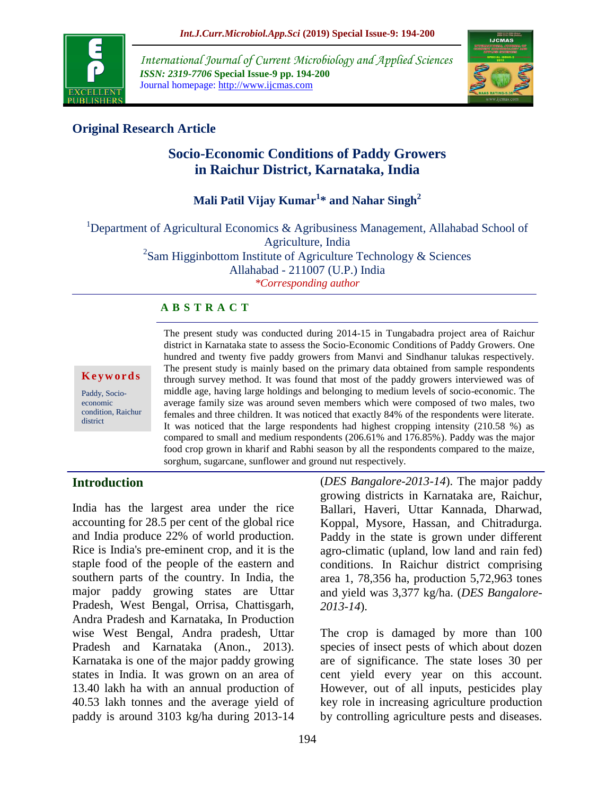

*International Journal of Current Microbiology and Applied Sciences ISSN: 2319-7706* **Special Issue-9 pp. 194-200** Journal homepage: http://www.ijcmas.com



# **Original Research Article**

# **Socio-Economic Conditions of Paddy Growers in Raichur District, Karnataka, India**

# **Mali Patil Vijay Kumar<sup>1</sup> \* and Nahar Singh<sup>2</sup>**

<sup>1</sup>Department of Agricultural Economics & Agribusiness Management, Allahabad School of Agriculture, India  $2$ Sam Higginbottom Institute of Agriculture Technology & Sciences Allahabad - 211007 (U.P.) India

*\*Corresponding author*

## **A B S T R A C T**

**K e y w o r d s**

Paddy, Socioeconomic condition, Raichur district

The present study was conducted during 2014-15 in Tungabadra project area of Raichur district in Karnataka state to assess the Socio-Economic Conditions of Paddy Growers. One hundred and twenty five paddy growers from Manvi and Sindhanur talukas respectively. The present study is mainly based on the primary data obtained from sample respondents through survey method. It was found that most of the paddy growers interviewed was of middle age, having large holdings and belonging to medium levels of socio-economic. The average family size was around seven members which were composed of two males, two females and three children. It was noticed that exactly 84% of the respondents were literate. It was noticed that the large respondents had highest cropping intensity (210.58 %) as compared to small and medium respondents (206.61% and 176.85%). Paddy was the major food crop grown in kharif and Rabhi season by all the respondents compared to the maize, sorghum, sugarcane, sunflower and ground nut respectively.

## **Introduction**

India has the largest area under the rice accounting for 28.5 per cent of the global rice and India produce 22% of world production. Rice is India's pre-eminent crop, and it is the staple food of the people of the eastern and southern parts of the country. In India, the major paddy growing states are Uttar Pradesh, West Bengal, Orrisa, Chattisgarh, Andra Pradesh and Karnataka, In Production wise West Bengal, Andra pradesh, Uttar Pradesh and Karnataka (Anon., 2013). Karnataka is one of the major paddy growing states in India. It was grown on an area of 13.40 lakh ha with an annual production of 40.53 lakh tonnes and the average yield of paddy is around 3103 kg/ha during 2013-14 (*DES Bangalore-2013-14*). The major paddy growing districts in Karnataka are, Raichur, Ballari, Haveri, Uttar Kannada, Dharwad, Koppal, Mysore, Hassan, and Chitradurga. Paddy in the state is grown under different agro-climatic (upland, low land and rain fed) conditions. In Raichur district comprising area 1, 78,356 ha, production 5,72,963 tones and yield was 3,377 kg/ha. (*DES Bangalore-2013-14*).

The crop is damaged by more than 100 species of insect pests of which about dozen are of significance. The state loses 30 per cent yield every year on this account. However, out of all inputs, pesticides play key role in increasing agriculture production by controlling agriculture pests and diseases.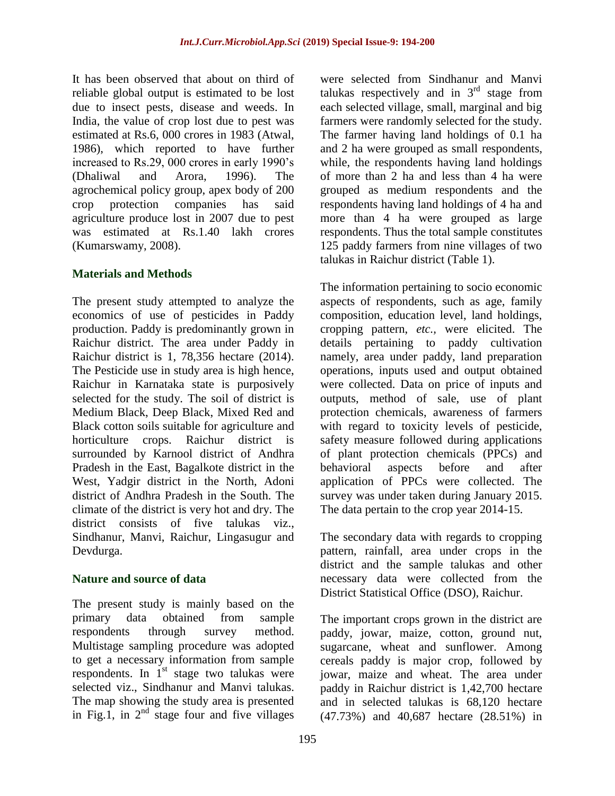It has been observed that about on third of reliable global output is estimated to be lost due to insect pests, disease and weeds. In India, the value of crop lost due to pest was estimated at Rs.6, 000 crores in 1983 (Atwal, 1986), which reported to have further increased to Rs.29, 000 crores in early 1990's (Dhaliwal and Arora, 1996). The agrochemical policy group, apex body of 200 crop protection companies has said agriculture produce lost in 2007 due to pest was estimated at Rs.1.40 lakh crores (Kumarswamy, 2008).

## **Materials and Methods**

The present study attempted to analyze the economics of use of pesticides in Paddy production. Paddy is predominantly grown in Raichur district. The area under Paddy in Raichur district is 1, 78,356 hectare (2014). The Pesticide use in study area is high hence, Raichur in Karnataka state is purposively selected for the study. The soil of district is Medium Black, Deep Black, Mixed Red and Black cotton soils suitable for agriculture and horticulture crops. Raichur district is surrounded by Karnool district of Andhra Pradesh in the East, Bagalkote district in the West, Yadgir district in the North, Adoni district of Andhra Pradesh in the South. The climate of the district is very hot and dry. The district consists of five talukas viz., Sindhanur, Manvi, Raichur, Lingasugur and Devdurga.

## **Nature and source of data**

The present study is mainly based on the primary data obtained from sample respondents through survey method. Multistage sampling procedure was adopted to get a necessary information from sample respondents. In  $1<sup>st</sup>$  stage two talukas were selected viz., Sindhanur and Manvi talukas. The map showing the study area is presented in Fig.1, in  $2<sup>nd</sup>$  stage four and five villages

were selected from Sindhanur and Manvi talukas respectively and in  $3<sup>rd</sup>$  stage from each selected village, small, marginal and big farmers were randomly selected for the study. The farmer having land holdings of 0.1 ha and 2 ha were grouped as small respondents, while, the respondents having land holdings of more than 2 ha and less than 4 ha were grouped as medium respondents and the respondents having land holdings of 4 ha and more than 4 ha were grouped as large respondents. Thus the total sample constitutes 125 paddy farmers from nine villages of two talukas in Raichur district (Table 1).

The information pertaining to socio economic aspects of respondents, such as age, family composition, education level, land holdings, cropping pattern, *etc.,* were elicited. The details pertaining to paddy cultivation namely, area under paddy, land preparation operations, inputs used and output obtained were collected. Data on price of inputs and outputs, method of sale, use of plant protection chemicals, awareness of farmers with regard to toxicity levels of pesticide, safety measure followed during applications of plant protection chemicals (PPCs) and behavioral aspects before and after application of PPCs were collected. The survey was under taken during January 2015. The data pertain to the crop year 2014-15.

The secondary data with regards to cropping pattern, rainfall, area under crops in the district and the sample talukas and other necessary data were collected from the District Statistical Office (DSO), Raichur.

The important crops grown in the district are paddy, jowar, maize, cotton, ground nut, sugarcane, wheat and sunflower. Among cereals paddy is major crop, followed by jowar, maize and wheat. The area under paddy in Raichur district is 1,42,700 hectare and in selected talukas is 68,120 hectare (47.73%) and 40,687 hectare (28.51%) in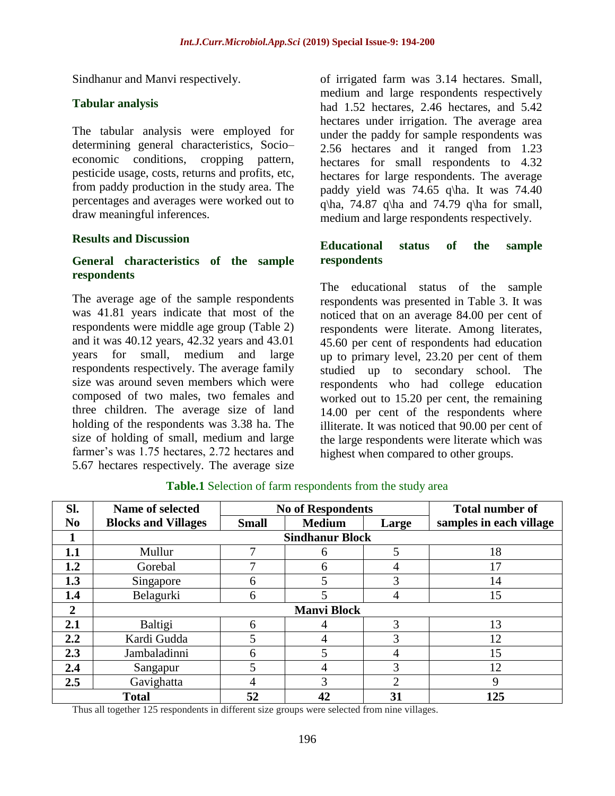Sindhanur and Manvi respectively.

## **Tabular analysis**

The tabular analysis were employed for determining general characteristics, Socio– economic conditions, cropping pattern, pesticide usage, costs, returns and profits, etc, from paddy production in the study area. The percentages and averages were worked out to draw meaningful inferences.

#### **Results and Discussion**

## **General characteristics of the sample respondents**

The average age of the sample respondents was 41.81 years indicate that most of the respondents were middle age group (Table 2) and it was 40.12 years, 42.32 years and 43.01 years for small, medium and large respondents respectively. The average family size was around seven members which were composed of two males, two females and three children. The average size of land holding of the respondents was 3.38 ha. The size of holding of small, medium and large farmer's was 1.75 hectares, 2.72 hectares and 5.67 hectares respectively. The average size

of irrigated farm was 3.14 hectares. Small, medium and large respondents respectively had 1.52 hectares, 2.46 hectares, and 5.42 hectares under irrigation. The average area under the paddy for sample respondents was 2.56 hectares and it ranged from 1.23 hectares for small respondents to 4.32 hectares for large respondents. The average paddy yield was 74.65 q\ha. It was 74.40 q\ha, 74.87 q\ha and 74.79 q\ha for small, medium and large respondents respectively.

#### **Educational status of the sample respondents**

The educational status of the sample respondents was presented in Table 3. It was noticed that on an average 84.00 per cent of respondents were literate. Among literates, 45.60 per cent of respondents had education up to primary level, 23.20 per cent of them studied up to secondary school. The respondents who had college education worked out to 15.20 per cent, the remaining 14.00 per cent of the respondents where illiterate. It was noticed that 90.00 per cent of the large respondents were literate which was highest when compared to other groups.

| SI.            | Name of selected           | <b>No of Respondents</b> |               |                | <b>Total number of</b>  |  |
|----------------|----------------------------|--------------------------|---------------|----------------|-------------------------|--|
| N <sub>0</sub> | <b>Blocks and Villages</b> | <b>Small</b>             | <b>Medium</b> | Large          | samples in each village |  |
|                | <b>Sindhanur Block</b>     |                          |               |                |                         |  |
| 1.1            | Mullur                     |                          | h             | 5              | 18                      |  |
| 1.2            | Gorebal                    |                          | 6             | 4              |                         |  |
| 1.3            | Singapore                  | 6                        | 5             | 3              | 14                      |  |
| 1.4            | Belagurki                  | 6                        | 5             | 4              | 15                      |  |
| 2              | <b>Manvi Block</b>         |                          |               |                |                         |  |
| 2.1            | Baltigi                    | 6                        | 4             | 3              | 13                      |  |
| 2.2            | Kardi Gudda                | 5                        | 4             | 3              | 12                      |  |
| 2.3            | Jambaladinni               | 6                        | 5             | 4              | 15                      |  |
| 2.4            | Sangapur                   |                          | 4             | 3              | 12                      |  |
| 2.5            | Gavighatta                 |                          | 3             | $\overline{2}$ |                         |  |
| <b>Total</b>   |                            | 52                       | 42            | 31             | 125                     |  |

#### **Table.1** Selection of farm respondents from the study area

Thus all together 125 respondents in different size groups were selected from nine villages.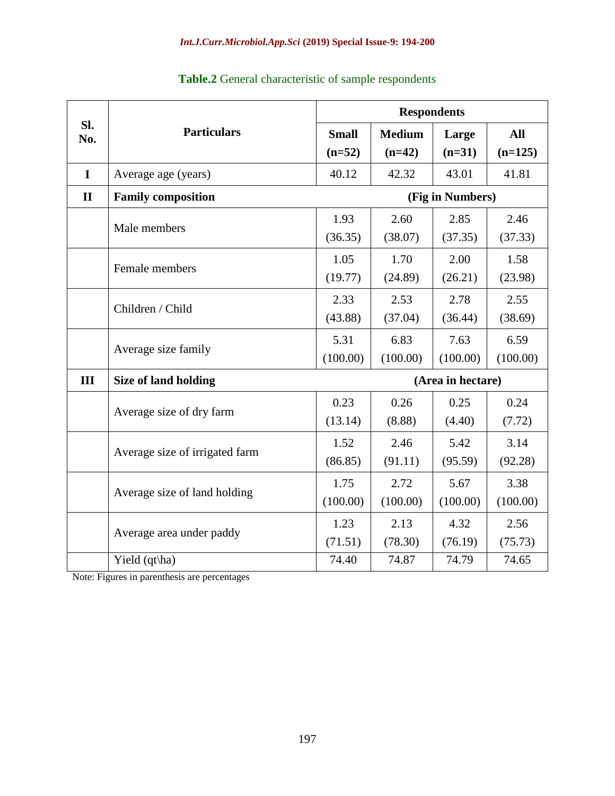|              | <b>Particulars</b>             | <b>Respondents</b> |               |          |           |
|--------------|--------------------------------|--------------------|---------------|----------|-----------|
| SI.<br>No.   |                                | <b>Small</b>       | <b>Medium</b> | Large    | All       |
|              |                                | $(n=52)$           | $(n=42)$      | $(n=31)$ | $(n=125)$ |
| I            | Average age (years)            | 40.12              | 42.32         | 43.01    | 41.81     |
| $\mathbf{I}$ | <b>Family composition</b>      | (Fig in Numbers)   |               |          |           |
|              | Male members                   | 1.93               | 2.60          | 2.85     | 2.46      |
|              |                                | (36.35)            | (38.07)       | (37.35)  | (37.33)   |
|              | Female members                 | 1.05               | 1.70          | 2.00     | 1.58      |
|              |                                | (19.77)            | (24.89)       | (26.21)  | (23.98)   |
|              | Children / Child               | 2.33               | 2.53          | 2.78     | 2.55      |
|              |                                | (43.88)            | (37.04)       | (36.44)  | (38.69)   |
|              | Average size family            | 5.31               | 6.83          | 7.63     | 6.59      |
|              |                                | (100.00)           | (100.00)      | (100.00) | (100.00)  |
| III          | <b>Size of land holding</b>    | (Area in hectare)  |               |          |           |
|              | Average size of dry farm       | 0.23               | 0.26          | 0.25     | 0.24      |
|              |                                | (13.14)            | (8.88)        | (4.40)   | (7.72)    |
|              | Average size of irrigated farm | 1.52               | 2.46          | 5.42     | 3.14      |
|              |                                | (86.85)            | (91.11)       | (95.59)  | (92.28)   |
|              | Average size of land holding   | 1.75               | 2.72          | 5.67     | 3.38      |
|              |                                | (100.00)           | (100.00)      | (100.00) | (100.00)  |
|              | Average area under paddy       | 1.23               | 2.13          | 4.32     | 2.56      |
|              |                                | (71.51)            | (78.30)       | (76.19)  | (75.73)   |
|              | Yield (qt\ha)                  | 74.40              | 74.87         | 74.79    | 74.65     |

# **Table.2** General characteristic of sample respondents

Note: Figures in parenthesis are percentages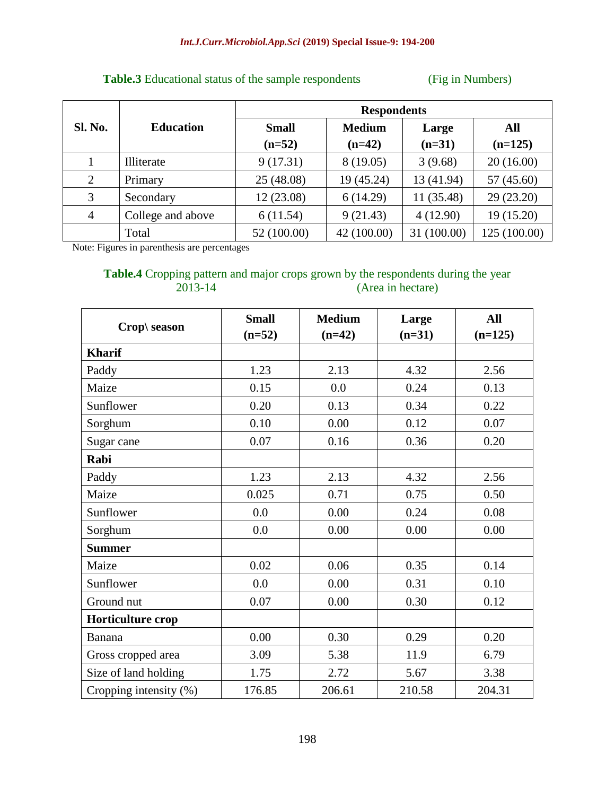## **Table.3** Educational status of the sample respondents (Fig in Numbers)

|                |                   | <b>Respondents</b> |               |             |              |  |
|----------------|-------------------|--------------------|---------------|-------------|--------------|--|
| <b>Sl. No.</b> | <b>Education</b>  | <b>Small</b>       | <b>Medium</b> | Large       | All          |  |
|                |                   | $(n=52)$           | $(n=42)$      | $(n=31)$    | $(n=125)$    |  |
|                | Illiterate        | 9(17.31)           | 8(19.05)      | 3(9.68)     | 20(16.00)    |  |
| $\overline{2}$ | Primary           | 25(48.08)          | 19 (45.24)    | 13 (41.94)  | 57(45.60)    |  |
| 3              | Secondary         | 12(23.08)          | 6(14.29)      | 11 (35.48)  | 29(23.20)    |  |
| $\overline{4}$ | College and above | 6(11.54)           | 9(21.43)      | 4(12.90)    | 19 (15.20)   |  |
|                | Total             | 52 (100.00)        | 42 (100.00)   | 31 (100.00) | 125 (100.00) |  |

Note: Figures in parenthesis are percentages

# **Table.4** Cropping pattern and major crops grown by the respondents during the year 2013-14 (Area in hectare)

|                        | <b>Small</b> | <b>Medium</b> | Large    | <b>All</b> |
|------------------------|--------------|---------------|----------|------------|
| Crop\ season           | $(n=52)$     | $(n=42)$      | $(n=31)$ | $(n=125)$  |
| <b>Kharif</b>          |              |               |          |            |
| Paddy                  | 1.23         | 2.13          | 4.32     | 2.56       |
| Maize                  | 0.15         | 0.0           | 0.24     | 0.13       |
| Sunflower              | 0.20         | 0.13          | 0.34     | 0.22       |
| Sorghum                | 0.10         | 0.00          | 0.12     | 0.07       |
| Sugar cane             | 0.07         | 0.16          | 0.36     | 0.20       |
| Rabi                   |              |               |          |            |
| Paddy                  | 1.23         | 2.13          | 4.32     | 2.56       |
| Maize                  | 0.025        | 0.71          | 0.75     | 0.50       |
| Sunflower              | 0.0          | 0.00          | 0.24     | 0.08       |
| Sorghum                | 0.0          | 0.00          | 0.00     | 0.00       |
| <b>Summer</b>          |              |               |          |            |
| Maize                  | 0.02         | 0.06          | 0.35     | 0.14       |
| Sunflower              | 0.0          | 0.00          | 0.31     | 0.10       |
| Ground nut             | 0.07         | 0.00          | 0.30     | 0.12       |
| Horticulture crop      |              |               |          |            |
| Banana                 | 0.00         | 0.30          | 0.29     | 0.20       |
| Gross cropped area     | 3.09         | 5.38          | 11.9     | 6.79       |
| Size of land holding   | 1.75         | 2.72          | 5.67     | 3.38       |
| Cropping intensity (%) | 176.85       | 206.61        | 210.58   | 204.31     |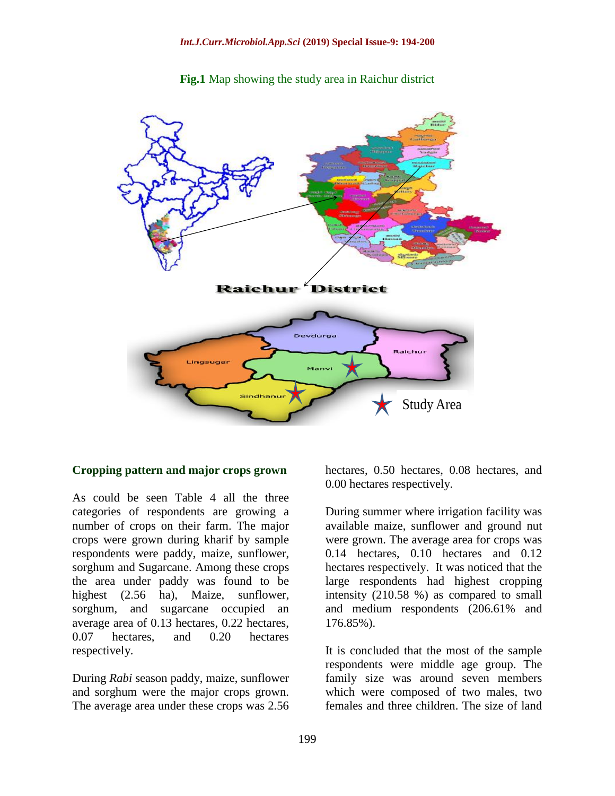



#### **Cropping pattern and major crops grown**

As could be seen Table 4 all the three categories of respondents are growing a number of crops on their farm. The major crops were grown during kharif by sample respondents were paddy, maize, sunflower, sorghum and Sugarcane. Among these crops the area under paddy was found to be highest (2.56 ha), Maize, sunflower, sorghum, and sugarcane occupied an average area of 0.13 hectares, 0.22 hectares, 0.07 hectares, and 0.20 hectares respectively.

During *Rabi* season paddy, maize, sunflower and sorghum were the major crops grown. The average area under these crops was 2.56

hectares, 0.50 hectares, 0.08 hectares, and 0.00 hectares respectively.

During summer where irrigation facility was available maize, sunflower and ground nut were grown. The average area for crops was 0.14 hectares, 0.10 hectares and 0.12 hectares respectively. It was noticed that the large respondents had highest cropping intensity (210.58 %) as compared to small and medium respondents (206.61% and 176.85%).

It is concluded that the most of the sample respondents were middle age group. The family size was around seven members which were composed of two males, two females and three children. The size of land